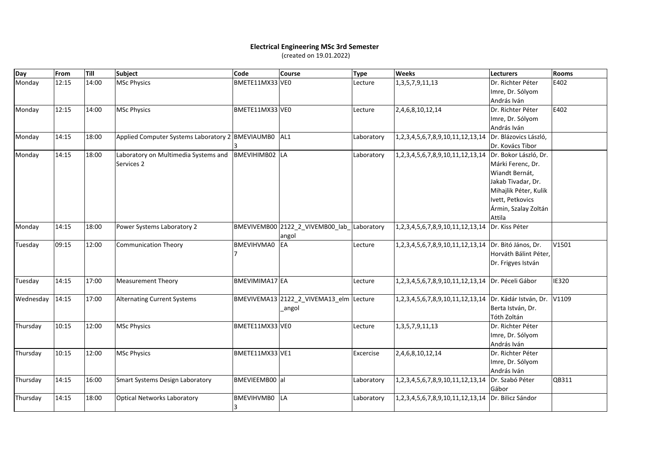## **Electrical Engineering MSc 3rd Semester**

(created on 19.01.2022)

| Day       | From  | Till  | <b>Subject</b>                                     | <b>Code</b>           | <b>Course</b>                              | <b>Type</b> | Weeks                                         | Lecturers             | <b>Rooms</b> |
|-----------|-------|-------|----------------------------------------------------|-----------------------|--------------------------------------------|-------------|-----------------------------------------------|-----------------------|--------------|
| Monday    | 12:15 | 14:00 | <b>MSc Physics</b>                                 | BMETE11MX33 VEO       |                                            | Lecture     | 1, 3, 5, 7, 9, 11, 13                         | Dr. Richter Péter     | E402         |
|           |       |       |                                                    |                       |                                            |             |                                               | Imre, Dr. Sólyom      |              |
|           |       |       |                                                    |                       |                                            |             |                                               | András Iván           |              |
| Monday    | 12:15 | 14:00 | <b>MSc Physics</b>                                 | BMETE11MX33 VEO       |                                            | Lecture     | 2,4,6,8,10,12,14                              | Dr. Richter Péter     | E402         |
|           |       |       |                                                    |                       |                                            |             |                                               | Imre, Dr. Sólyom      |              |
|           |       |       |                                                    |                       |                                            |             |                                               | András Iván           |              |
| Monday    | 14:15 | 18:00 | Applied Computer Systems Laboratory 2 BMEVIAUMB0   |                       | AL1                                        | Laboratory  | 1, 2, 3, 4, 5, 6, 7, 8, 9, 10, 11, 12, 13, 14 | Dr. Blázovics László, |              |
|           |       |       |                                                    |                       |                                            |             |                                               | Dr. Kovács Tibor      |              |
| Monday    | 14:15 | 18:00 | Laboratory on Multimedia Systems and<br>Services 2 | BMEVIHIMB02 LA        |                                            | Laboratory  | 1,2,3,4,5,6,7,8,9,10,11,12,13,14              | Dr. Bokor László, Dr. |              |
|           |       |       |                                                    |                       |                                            |             |                                               | Márki Ferenc, Dr.     |              |
|           |       |       |                                                    |                       |                                            |             |                                               | Wiandt Bernát,        |              |
|           |       |       |                                                    |                       |                                            |             |                                               | Jakab Tivadar, Dr.    |              |
|           |       |       |                                                    |                       |                                            |             |                                               | Mihajlik Péter, Kulik |              |
|           |       |       |                                                    |                       |                                            |             |                                               | Ivett, Petkovics      |              |
|           |       |       |                                                    |                       |                                            |             |                                               | Ármin, Szalay Zoltán  |              |
|           |       |       |                                                    |                       |                                            |             |                                               | Attila                |              |
| Monday    | 14:15 | 18:00 | Power Systems Laboratory 2                         |                       | BMEVIVEMB00 2122_2_VIVEMB00_lab_Laboratory |             | 1,2,3,4,5,6,7,8,9,10,11,12,13,14              | Dr. Kiss Péter        |              |
|           |       |       |                                                    |                       | angol                                      |             |                                               |                       |              |
| Tuesday   | 09:15 | 12:00 | <b>Communication Theory</b>                        | <b>BMEVIHVMA0</b>     | EA                                         | Lecture     | 1,2,3,4,5,6,7,8,9,10,11,12,13,14              | Dr. Bitó János, Dr.   | V1501        |
|           |       |       |                                                    |                       |                                            |             |                                               | Horváth Bálint Péter, |              |
|           |       |       |                                                    |                       |                                            |             |                                               | Dr. Frigyes István    |              |
| Tuesday   | 14:15 | 17:00 | <b>Measurement Theory</b>                          | <b>BMEVIMIMA17 EA</b> |                                            | Lecture     | 1,2,3,4,5,6,7,8,9,10,11,12,13,14              | Dr. Péceli Gábor      | <b>IE320</b> |
|           |       |       |                                                    |                       |                                            |             |                                               |                       |              |
| Wednesday | 14:15 | 17:00 | <b>Alternating Current Systems</b>                 |                       | BMEVIVEMA13 2122_2_VIVEMA13_elm Lecture    |             | 1,2,3,4,5,6,7,8,9,10,11,12,13,14              | Dr. Kádár István, Dr. | V1109        |
|           |       |       |                                                    |                       | angol                                      |             |                                               | Berta István, Dr.     |              |
|           |       |       |                                                    |                       |                                            |             |                                               | Tóth Zoltán           |              |
| Thursday  | 10:15 | 12:00 | <b>MSc Physics</b>                                 | BMETE11MX33 VEO       |                                            | Lecture     | 1, 3, 5, 7, 9, 11, 13                         | Dr. Richter Péter     |              |
|           |       |       |                                                    |                       |                                            |             |                                               | Imre, Dr. Sólyom      |              |
|           |       |       |                                                    |                       |                                            |             |                                               | András Iván           |              |
| Thursday  | 10:15 | 12:00 | <b>MSc Physics</b>                                 | BMETE11MX33 VE1       |                                            | Excercise   | 2,4,6,8,10,12,14                              | Dr. Richter Péter     |              |
|           |       |       |                                                    |                       |                                            |             |                                               | Imre, Dr. Sólyom      |              |
|           |       |       |                                                    |                       |                                            |             |                                               | András Iván           |              |
| Thursday  | 14:15 | 16:00 | <b>Smart Systems Design Laboratory</b>             | BMEVIEEMB00 al        |                                            | Laboratory  | 1,2,3,4,5,6,7,8,9,10,11,12,13,14              | Dr. Szabó Péter       | QB311        |
|           |       |       |                                                    |                       |                                            |             |                                               | Gábor                 |              |
| Thursday  | 14:15 | 18:00 | <b>Optical Networks Laboratory</b>                 | <b>BMEVIHVMB0</b> LA  |                                            | Laboratory  | 1,2,3,4,5,6,7,8,9,10,11,12,13,14              | Dr. Bilicz Sándor     |              |
|           |       |       |                                                    |                       |                                            |             |                                               |                       |              |